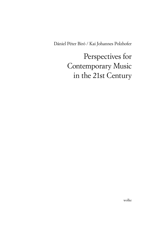Dániel Péter Biró / Kai Johannes Polzhofer

Perspectives for Contemporary Music in the 21st Century

wolke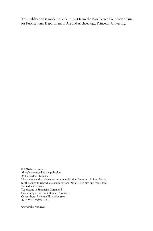This publication is made possible in part from the Barr Ferree Foundation Fund for Publications, Department of Art and Archaeology, Princeton University.

© 2016 by the authors All rights reserved by the publisher Wolke Verlag, Hofheim The authors and publisher are grateful to Edition Peters and Edition Gravis for the ability to reproduce examples from Dániel Péter Biró and Ming Tsao. Printed in Germany Typesetting in Simoncini Garamond Cover design: Friedwalt Donner, Alonissos Cover photo: Erdmute Blitz, Alonissos ISBN 978-3-95593-072-1

www.wolke-verlag.de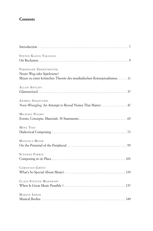## **Contents**

| STEVEN KAZUO TAKASUGI                                                    |
|--------------------------------------------------------------------------|
|                                                                          |
| FERDINAND ZEHENTREITER                                                   |
| Neuer Weg oder Spielwiese?                                               |
| Skizze zu einer kritischen Theorie des musikalischen Konzeptualismus. 11 |
| ALLAN ANTLIFF                                                            |
|                                                                          |
| ANDREA SZIGETVÁRI                                                        |
| Noise-Wrangling: An Attempt to Reveal Noises That Matter  47             |
| MICHAEL PISARO                                                           |
|                                                                          |
| MING TSAO                                                                |
|                                                                          |
| MANUELA MEIER                                                            |
|                                                                          |
| <b>SUZANNE FARRIN</b>                                                    |
|                                                                          |
| CHRISTIAN GRÜNY                                                          |
|                                                                          |
| <b>CLAUS-STEFFEN MAHNKOPF</b>                                            |
|                                                                          |
| MARTIN IDDON                                                             |
|                                                                          |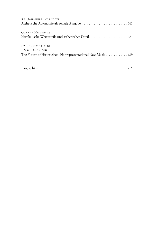| KAI JOHANNES POLZHOFER                                                                              |
|-----------------------------------------------------------------------------------------------------|
| <b>GUNNAR HINDRICHS</b><br>Musikalische Werturteile und ästhetisches Urteil 181                     |
| DÁNIEL PÉTER BIRÓ<br>אהיה א⊍ר אהיה<br>The Future of Historicized, Nonrepresentational New Music 189 |
|                                                                                                     |